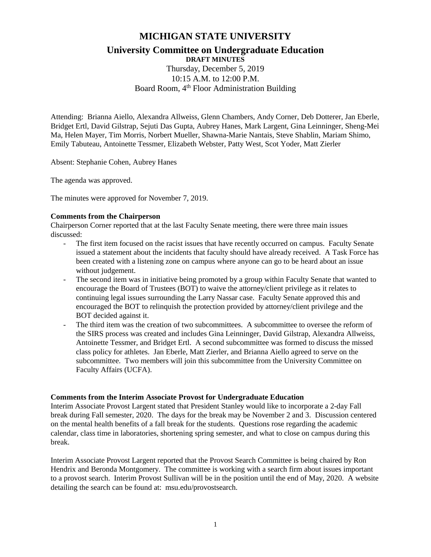# **MICHIGAN STATE UNIVERSITY**

# **University Committee on Undergraduate Education**

**DRAFT MINUTES** Thursday, December 5, 2019 10:15 A.M. to 12:00 P.M. Board Room, 4<sup>th</sup> Floor Administration Building

Attending: Brianna Aiello, Alexandra Allweiss, Glenn Chambers, Andy Corner, Deb Dotterer, Jan Eberle, Bridget Ertl, David Gilstrap, Sejuti Das Gupta, Aubrey Hanes, Mark Largent, Gina Leinninger, Sheng-Mei Ma, Helen Mayer, Tim Morris, Norbert Mueller, Shawna-Marie Nantais, Steve Shablin, Mariam Shimo, Emily Tabuteau, Antoinette Tessmer, Elizabeth Webster, Patty West, Scot Yoder, Matt Zierler

Absent: Stephanie Cohen, Aubrey Hanes

The agenda was approved.

The minutes were approved for November 7, 2019.

## **Comments from the Chairperson**

Chairperson Corner reported that at the last Faculty Senate meeting, there were three main issues discussed:

- The first item focused on the racist issues that have recently occurred on campus. Faculty Senate issued a statement about the incidents that faculty should have already received. A Task Force has been created with a listening zone on campus where anyone can go to be heard about an issue without judgement.
- The second item was in initiative being promoted by a group within Faculty Senate that wanted to encourage the Board of Trustees (BOT) to waive the attorney/client privilege as it relates to continuing legal issues surrounding the Larry Nassar case. Faculty Senate approved this and encouraged the BOT to relinquish the protection provided by attorney/client privilege and the BOT decided against it.
- The third item was the creation of two subcommittees. A subcommittee to oversee the reform of the SIRS process was created and includes Gina Leinninger, David Gilstrap, Alexandra Allweiss, Antoinette Tessmer, and Bridget Ertl. A second subcommittee was formed to discuss the missed class policy for athletes. Jan Eberle, Matt Zierler, and Brianna Aiello agreed to serve on the subcommittee. Two members will join this subcommittee from the University Committee on Faculty Affairs (UCFA).

#### **Comments from the Interim Associate Provost for Undergraduate Education**

Interim Associate Provost Largent stated that President Stanley would like to incorporate a 2-day Fall break during Fall semester, 2020. The days for the break may be November 2 and 3. Discussion centered on the mental health benefits of a fall break for the students. Questions rose regarding the academic calendar, class time in laboratories, shortening spring semester, and what to close on campus during this break.

Interim Associate Provost Largent reported that the Provost Search Committee is being chaired by Ron Hendrix and Beronda Montgomery. The committee is working with a search firm about issues important to a provost search. Interim Provost Sullivan will be in the position until the end of May, 2020. A website detailing the search can be found at: msu.edu/provostsearch.